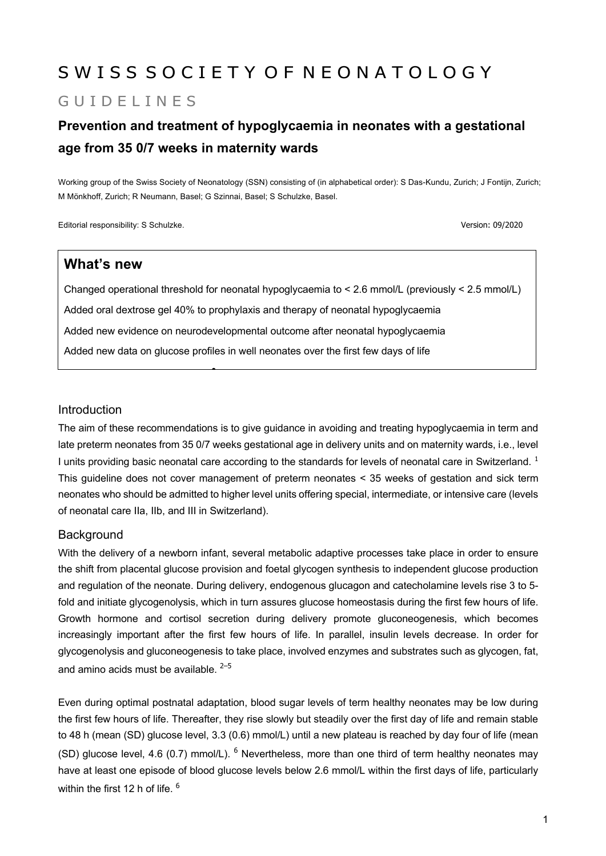# S W I S S S O C I E T Y O F N E O N A T O L O G Y

# GUID FI IN FS

# **Prevention and treatment of hypoglycaemia in neonates with a gestational age from 35 0/7 weeks in maternity wards**

Working group of the Swiss Society of Neonatology (SSN) consisting of (in alphabetical order): S Das-Kundu, Zurich; J Fontijn, Zurich; M Mönkhoff, Zurich; R Neumann, Basel; G Szinnai, Basel; S Schulzke, Basel.

Editorial responsibility: S Schulzke. Version: 09/2020

#### **What's new**

Changed operational threshold for neonatal hypoglycaemia to < 2.6 mmol/L (previously < 2.5 mmol/L) Added oral dextrose gel 40% to prophylaxis and therapy of neonatal hypoglycaemia Added new evidence on neurodevelopmental outcome after neonatal hypoglycaemia Added new data on glucose profiles in well neonates over the first few days of life

•

#### Introduction

The aim of these recommendations is to give guidance in avoiding and treating hypoglycaemia in term and late preterm neonates from 35 0/7 weeks gestational age in delivery units and on maternity wards, i.e., level I units providing basic neonatal care according to the standards for levels of neonatal care in Switzerland.<sup>1</sup> This guideline does not cover management of preterm neonates < 35 weeks of gestation and sick term neonates who should be admitted to higher level units offering special, intermediate, or intensive care (levels of neonatal care IIa, IIb, and III in Switzerland).

#### **Background**

With the delivery of a newborn infant, several metabolic adaptive processes take place in order to ensure the shift from placental glucose provision and foetal glycogen synthesis to independent glucose production and regulation of the neonate. During delivery, endogenous glucagon and catecholamine levels rise 3 to 5 fold and initiate glycogenolysis, which in turn assures glucose homeostasis during the first few hours of life. Growth hormone and cortisol secretion during delivery promote gluconeogenesis, which becomes increasingly important after the first few hours of life. In parallel, insulin levels decrease. In order for glycogenolysis and gluconeogenesis to take place, involved enzymes and substrates such as glycogen, fat, and amino acids must be available.  $2-5$ 

Even during optimal postnatal adaptation, blood sugar levels of term healthy neonates may be low during the first few hours of life. Thereafter, they rise slowly but steadily over the first day of life and remain stable to 48 h (mean (SD) glucose level, 3.3 (0.6) mmol/L) until a new plateau is reached by day four of life (mean (SD) glucose level, 4.6 (0.7) mmol/L).  $<sup>6</sup>$  Nevertheless, more than one third of term healthy neonates may</sup> have at least one episode of blood glucose levels below 2.6 mmol/L within the first days of life, particularly within the first 12 h of life. <sup>6</sup>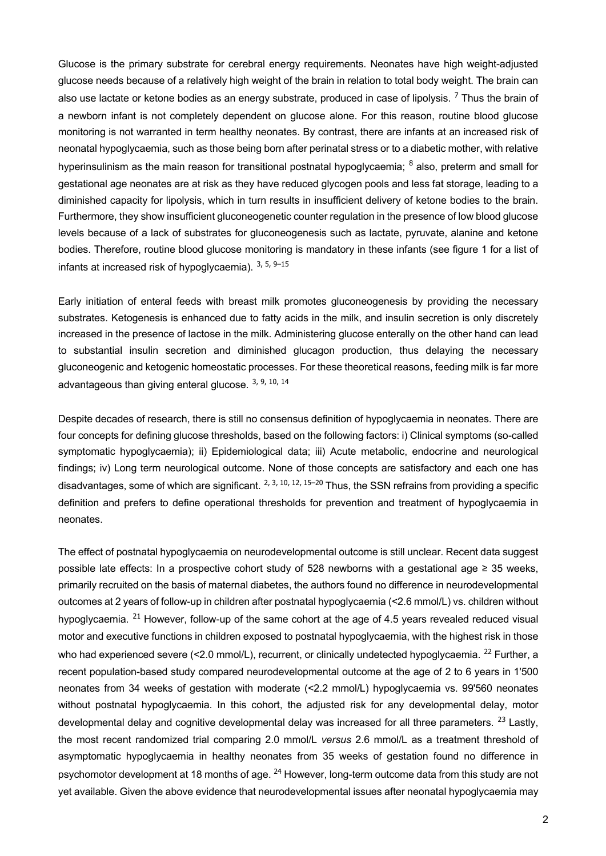Glucose is the primary substrate for cerebral energy requirements. Neonates have high weight-adjusted glucose needs because of a relatively high weight of the brain in relation to total body weight. The brain can also use lactate or ketone bodies as an energy substrate, produced in case of lipolysis.  $^7$  Thus the brain of a newborn infant is not completely dependent on glucose alone. For this reason, routine blood glucose monitoring is not warranted in term healthy neonates. By contrast, there are infants at an increased risk of neonatal hypoglycaemia, such as those being born after perinatal stress or to a diabetic mother, with relative hyperinsulinism as the main reason for transitional postnatal hypoglycaemia; <sup>8</sup> also, preterm and small for gestational age neonates are at risk as they have reduced glycogen pools and less fat storage, leading to a diminished capacity for lipolysis, which in turn results in insufficient delivery of ketone bodies to the brain. Furthermore, they show insufficient gluconeogenetic counter regulation in the presence of low blood glucose levels because of a lack of substrates for gluconeogenesis such as lactate, pyruvate, alanine and ketone bodies. Therefore, routine blood glucose monitoring is mandatory in these infants (see figure 1 for a list of infants at increased risk of hypoglycaemia).  $3, 5, 9-15$ 

Early initiation of enteral feeds with breast milk promotes gluconeogenesis by providing the necessary substrates. Ketogenesis is enhanced due to fatty acids in the milk, and insulin secretion is only discretely increased in the presence of lactose in the milk. Administering glucose enterally on the other hand can lead to substantial insulin secretion and diminished glucagon production, thus delaying the necessary gluconeogenic and ketogenic homeostatic processes. For these theoretical reasons, feeding milk is far more advantageous than giving enteral glucose. 3, 9, 10, 14

Despite decades of research, there is still no consensus definition of hypoglycaemia in neonates. There are four concepts for defining glucose thresholds, based on the following factors: i) Clinical symptoms (so-called symptomatic hypoglycaemia); ii) Epidemiological data; iii) Acute metabolic, endocrine and neurological findings; iv) Long term neurological outcome. None of those concepts are satisfactory and each one has disadvantages, some of which are significant,  $^{2, 3, 10, 12, 15-20}$  Thus, the SSN refrains from providing a specific definition and prefers to define operational thresholds for prevention and treatment of hypoglycaemia in neonates.

The effect of postnatal hypoglycaemia on neurodevelopmental outcome is still unclear. Recent data suggest possible late effects: In a prospective cohort study of 528 newborns with a gestational age ≥ 35 weeks, primarily recruited on the basis of maternal diabetes, the authors found no difference in neurodevelopmental outcomes at 2 years of follow-up in children after postnatal hypoglycaemia (<2.6 mmol/L) vs. children without hypoglycaemia. <sup>21</sup> However, follow-up of the same cohort at the age of 4.5 years revealed reduced visual motor and executive functions in children exposed to postnatal hypoglycaemia, with the highest risk in those who had experienced severe (<2.0 mmol/L), recurrent, or clinically undetected hypoglycaemia. <sup>22</sup> Further, a recent population-based study compared neurodevelopmental outcome at the age of 2 to 6 years in 1'500 neonates from 34 weeks of gestation with moderate (<2.2 mmol/L) hypoglycaemia vs. 99'560 neonates without postnatal hypoglycaemia. In this cohort, the adjusted risk for any developmental delay, motor developmental delay and cognitive developmental delay was increased for all three parameters. <sup>23</sup> Lastly, the most recent randomized trial comparing 2.0 mmol/L *versus* 2.6 mmol/L as a treatment threshold of asymptomatic hypoglycaemia in healthy neonates from 35 weeks of gestation found no difference in psychomotor development at 18 months of age. <sup>24</sup> However, long-term outcome data from this study are not yet available. Given the above evidence that neurodevelopmental issues after neonatal hypoglycaemia may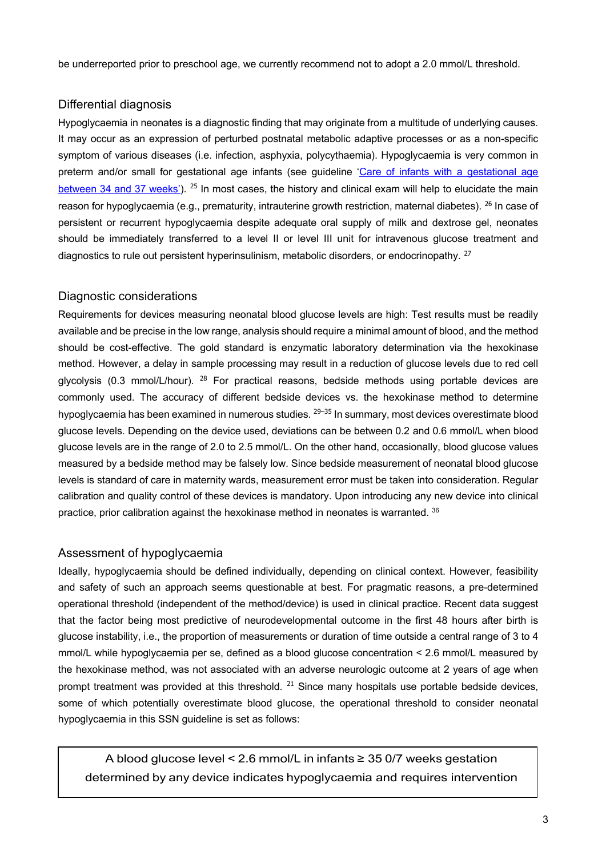be underreported prior to preschool age, we currently recommend not to adopt a 2.0 mmol/L threshold.

#### Differential diagnosis

Hypoglycaemia in neonates is a diagnostic finding that may originate from a multitude of underlying causes. It may occur as an expression of perturbed postnatal metabolic adaptive processes or as a non-specific symptom of various diseases (i.e. infection, asphyxia, polycythaemia). Hypoglycaemia is very common in preterm and/or small for gestational age infants (see guideline 'Care of infants with a gestational age between 34 and 37 weeks').  $^{25}$  In most cases, the history and clinical exam will help to elucidate the main reason for hypoglycaemia (e.g., prematurity, intrauterine growth restriction, maternal diabetes). <sup>26</sup> In case of persistent or recurrent hypoglycaemia despite adequate oral supply of milk and dextrose gel, neonates should be immediately transferred to a level II or level III unit for intravenous glucose treatment and diagnostics to rule out persistent hyperinsulinism, metabolic disorders, or endocrinopathy,  $27$ 

#### Diagnostic considerations

Requirements for devices measuring neonatal blood glucose levels are high: Test results must be readily available and be precise in the low range, analysis should require a minimal amount of blood, and the method should be cost-effective. The gold standard is enzymatic laboratory determination via the hexokinase method. However, a delay in sample processing may result in a reduction of glucose levels due to red cell glycolysis (0.3 mmol/L/hour). <sup>28</sup> For practical reasons, bedside methods using portable devices are commonly used. The accuracy of different bedside devices vs. the hexokinase method to determine hypoglycaemia has been examined in numerous studies. <sup>29–35</sup> In summary, most devices overestimate blood glucose levels. Depending on the device used, deviations can be between 0.2 and 0.6 mmol/L when blood glucose levels are in the range of 2.0 to 2.5 mmol/L. On the other hand, occasionally, blood glucose values measured by a bedside method may be falsely low. Since bedside measurement of neonatal blood glucose levels is standard of care in maternity wards, measurement error must be taken into consideration. Regular calibration and quality control of these devices is mandatory. Upon introducing any new device into clinical practice, prior calibration against the hexokinase method in neonates is warranted. 36

#### Assessment of hypoglycaemia

Ideally, hypoglycaemia should be defined individually, depending on clinical context. However, feasibility and safety of such an approach seems questionable at best. For pragmatic reasons, a pre-determined operational threshold (independent of the method/device) is used in clinical practice. Recent data suggest that the factor being most predictive of neurodevelopmental outcome in the first 48 hours after birth is glucose instability, i.e., the proportion of measurements or duration of time outside a central range of 3 to 4 mmol/L while hypoglycaemia per se, defined as a blood glucose concentration < 2.6 mmol/L measured by the hexokinase method, was not associated with an adverse neurologic outcome at 2 years of age when prompt treatment was provided at this threshold. <sup>21</sup> Since many hospitals use portable bedside devices, some of which potentially overestimate blood glucose, the operational threshold to consider neonatal hypoglycaemia in this SSN guideline is set as follows:

A blood glucose level < 2.6 mmol/L in infants ≥ 35 0/7 weeks gestation determined by any device indicates hypoglycaemia and requires intervention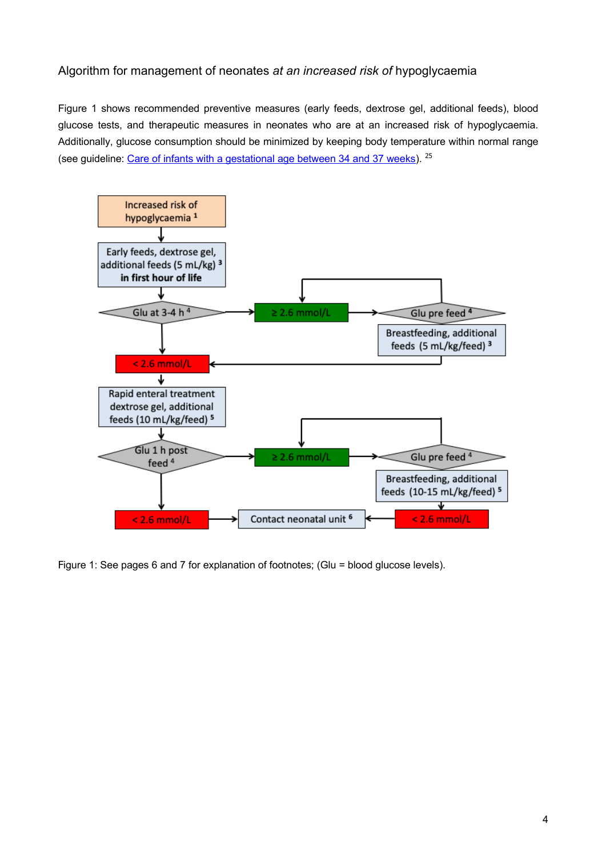#### Algorithm for management of neonates *at an increased risk of* hypoglycaemia

Figure 1 shows recommended preventive measures (early feeds, dextrose gel, additional feeds), blood glucose tests, and therapeutic measures in neonates who are at an increased risk of hypoglycaemia. Additionally, glucose consumption should be minimized by keeping body temperature within normal range (see guideline: Care of infants with a gestational age between 34 and 37 weeks). <sup>25</sup>



Figure 1: See pages 6 and 7 for explanation of footnotes; (Glu = blood glucose levels).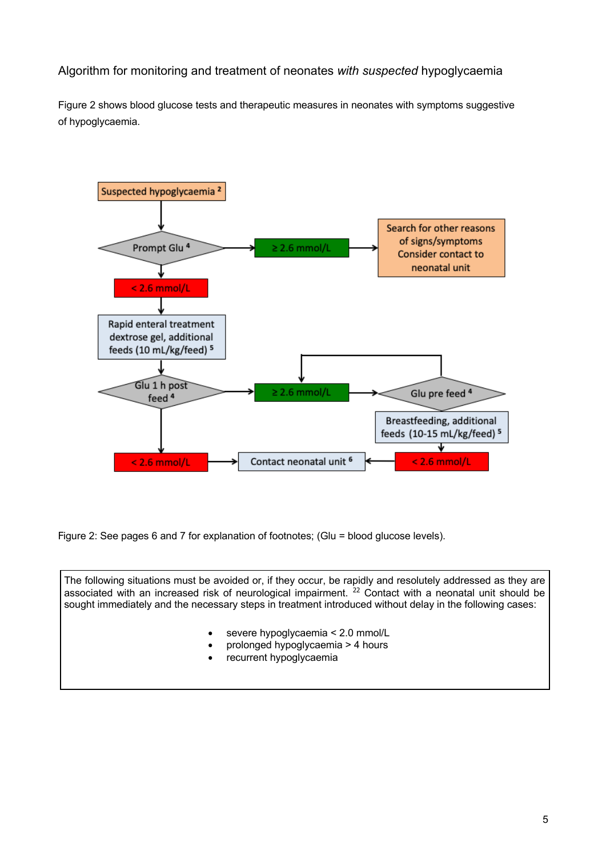#### Algorithm for monitoring and treatment of neonates *with suspected* hypoglycaemia

Figure 2 shows blood glucose tests and therapeutic measures in neonates with symptoms suggestive of hypoglycaemia.



Figure 2: See pages 6 and 7 for explanation of footnotes; (Glu = blood glucose levels).

The following situations must be avoided or, if they occur, be rapidly and resolutely addressed as they are associated with an increased risk of neurological impairment.<sup>22</sup> Contact with a neonatal unit should be sought immediately and the necessary steps in treatment introduced without delay in the following cases: severe hypoglycaemia < 2.0 mmol/L • prolonged hypoglycaemia > 4 hours recurrent hypoglycaemia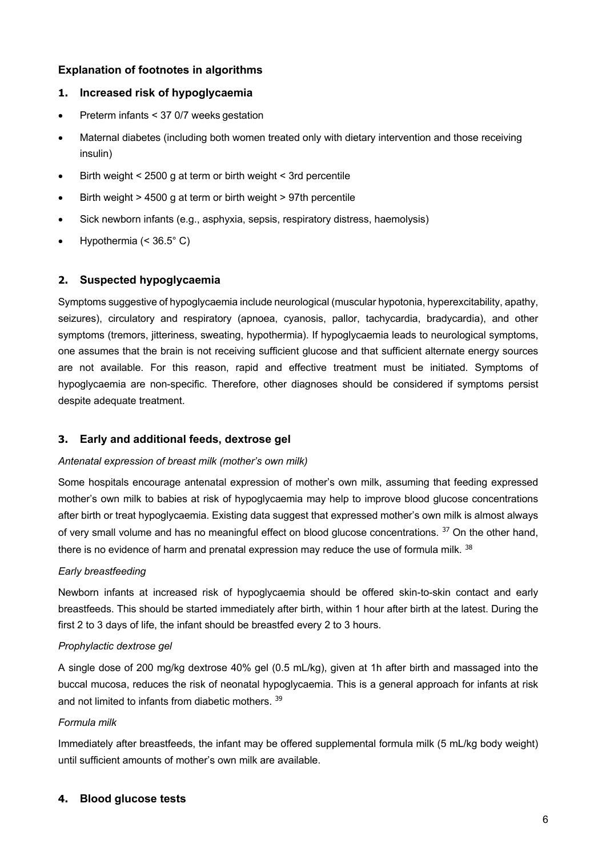#### **Explanation of footnotes in algorithms**

#### **1. Increased risk of hypoglycaemia**

- Preterm infants < 37 0/7 weeks gestation
- Maternal diabetes (including both women treated only with dietary intervention and those receiving insulin)
- Birth weight < 2500 g at term or birth weight < 3rd percentile
- Birth weight > 4500 g at term or birth weight > 97th percentile
- Sick newborn infants (e.g., asphyxia, sepsis, respiratory distress, haemolysis)
- Hypothermia  $( $36.5^{\circ}$  C)$

# **2. Suspected hypoglycaemia**

Symptoms suggestive of hypoglycaemia include neurological (muscular hypotonia, hyperexcitability, apathy, seizures), circulatory and respiratory (apnoea, cyanosis, pallor, tachycardia, bradycardia), and other symptoms (tremors, jitteriness, sweating, hypothermia). If hypoglycaemia leads to neurological symptoms, one assumes that the brain is not receiving sufficient glucose and that sufficient alternate energy sources are not available. For this reason, rapid and effective treatment must be initiated. Symptoms of hypoglycaemia are non-specific. Therefore, other diagnoses should be considered if symptoms persist despite adequate treatment.

# **3. Early and additional feeds, dextrose gel**

#### *Antenatal expression of breast milk (mother's own milk)*

Some hospitals encourage antenatal expression of mother's own milk, assuming that feeding expressed mother's own milk to babies at risk of hypoglycaemia may help to improve blood glucose concentrations after birth or treat hypoglycaemia. Existing data suggest that expressed mother's own milk is almost always of very small volume and has no meaningful effect on blood glucose concentrations. <sup>37</sup> On the other hand, there is no evidence of harm and prenatal expression may reduce the use of formula milk.  $38$ 

# *Early breastfeeding*

Newborn infants at increased risk of hypoglycaemia should be offered skin-to-skin contact and early breastfeeds. This should be started immediately after birth, within 1 hour after birth at the latest. During the first 2 to 3 days of life, the infant should be breastfed every 2 to 3 hours.

#### *Prophylactic dextrose gel*

A single dose of 200 mg/kg dextrose 40% gel (0.5 mL/kg), given at 1h after birth and massaged into the buccal mucosa, reduces the risk of neonatal hypoglycaemia. This is a general approach for infants at risk and not limited to infants from diabetic mothers. <sup>39</sup>

# *Formula milk*

Immediately after breastfeeds, the infant may be offered supplemental formula milk (5 mL/kg body weight) until sufficient amounts of mother's own milk are available.

# **4. Blood glucose tests**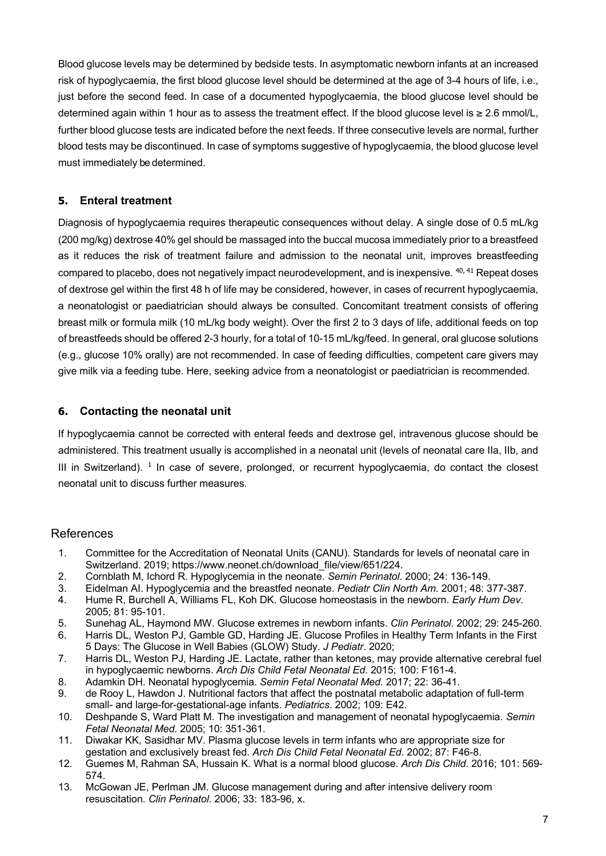Blood glucose levels may be determined by bedside tests. In asymptomatic newborn infants at an increased risk of hypoglycaemia, the first blood glucose level should be determined at the age of 3-4 hours of life, i.e., just before the second feed. In case of a documented hypoglycaemia, the blood glucose level should be determined again within 1 hour as to assess the treatment effect. If the blood glucose level is ≥ 2.6 mmol/L, further blood glucose tests are indicated before the next feeds. If three consecutive levels are normal, further blood tests may be discontinued. In case of symptoms suggestive of hypoglycaemia, the blood glucose level must immediately be determined.

#### **5. Enteral treatment**

Diagnosis of hypoglycaemia requires therapeutic consequences without delay. A single dose of 0.5 mL/kg (200 mg/kg) dextrose 40% gel should be massaged into the buccal mucosa immediately prior to a breastfeed as it reduces the risk of treatment failure and admission to the neonatal unit, improves breastfeeding compared to placebo, does not negatively impact neurodevelopment, and is inexpensive. <sup>40, 41</sup> Repeat doses of dextrose gel within the first 48 h of life may be considered, however, in cases of recurrent hypoglycaemia, a neonatologist or paediatrician should always be consulted. Concomitant treatment consists of offering breast milk or formula milk (10 mL/kg body weight). Over the first 2 to 3 days of life, additional feeds on top of breastfeeds should be offered 2-3 hourly, for a total of 10-15 mL/kg/feed. In general, oral glucose solutions (e.g., glucose 10% orally) are not recommended. In case of feeding difficulties, competent care givers may give milk via a feeding tube. Here, seeking advice from a neonatologist or paediatrician is recommended.

#### **6. Contacting the neonatal unit**

If hypoglycaemia cannot be corrected with enteral feeds and dextrose gel, intravenous glucose should be administered. This treatment usually is accomplished in a neonatal unit (levels of neonatal care IIa, IIb, and III in Switzerland).  $1$  In case of severe, prolonged, or recurrent hypoglycaemia, do contact the closest neonatal unit to discuss further measures.

#### References

- 1. Committee for the Accreditation of Neonatal Units (CANU). Standards for levels of neonatal care in Switzerland. 2019; https://www.neonet.ch/download\_file/view/651/224.
- 2. Cornblath M, Ichord R. Hypoglycemia in the neonate. *Semin Perinatol*. 2000; 24: 136-149.
- 3. Eidelman AI. Hypoglycemia and the breastfed neonate. *Pediatr Clin North Am*. 2001; 48: 377-387.
- 4. Hume R, Burchell A, Williams FL, Koh DK. Glucose homeostasis in the newborn. *Early Hum Dev*. 2005; 81: 95-101.
- 5. Sunehag AL, Haymond MW. Glucose extremes in newborn infants. *Clin Perinatol*. 2002; 29: 245-260.
- 6. Harris DL, Weston PJ, Gamble GD, Harding JE. Glucose Profiles in Healthy Term Infants in the First 5 Days: The Glucose in Well Babies (GLOW) Study. *J Pediatr*. 2020;
- 7. Harris DL, Weston PJ, Harding JE. Lactate, rather than ketones, may provide alternative cerebral fuel in hypoglycaemic newborns. *Arch Dis Child Fetal Neonatal Ed*. 2015; 100: F161-4.
- 8. Adamkin DH. Neonatal hypoglycemia. *Semin Fetal Neonatal Med*. 2017; 22: 36-41.
- 9. de Rooy L, Hawdon J. Nutritional factors that affect the postnatal metabolic adaptation of full-term small- and large-for-gestational-age infants. *Pediatrics*. 2002; 109: E42.
- 10. Deshpande S, Ward Platt M. The investigation and management of neonatal hypoglycaemia. *Semin Fetal Neonatal Med*. 2005; 10: 351-361.
- 11. Diwakar KK, Sasidhar MV. Plasma glucose levels in term infants who are appropriate size for gestation and exclusively breast fed. *Arch Dis Child Fetal Neonatal Ed*. 2002; 87: F46-8.
- 12. Guemes M, Rahman SA, Hussain K. What is a normal blood glucose. *Arch Dis Child*. 2016; 101: 569- 574.
- 13. McGowan JE, Perlman JM. Glucose management during and after intensive delivery room resuscitation. *Clin Perinatol*. 2006; 33: 183-96, x.